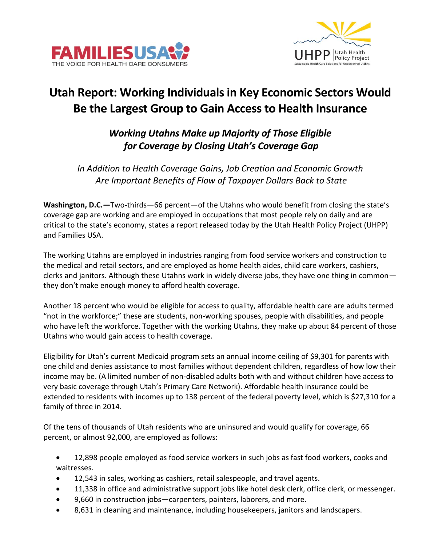



## **Utah Report: Working Individuals in Key Economic Sectors Would Be the Largest Group to Gain Access to Health Insurance**

## *Working Utahns Make up Majority of Those Eligible for Coverage by Closing Utah's Coverage Gap*

*In Addition to Health Coverage Gains, Job Creation and Economic Growth Are Important Benefits of Flow of Taxpayer Dollars Back to State*

**Washington, D.C.—**Two-thirds—66 percent—of the Utahns who would benefit from closing the state's coverage gap are working and are employed in occupations that most people rely on daily and are critical to the state's economy, states a report released today by the Utah Health Policy Project (UHPP) and Families USA.

The working Utahns are employed in industries ranging from food service workers and construction to the medical and retail sectors, and are employed as home health aides, child care workers, cashiers, clerks and janitors. Although these Utahns work in widely diverse jobs, they have one thing in common they don't make enough money to afford health coverage.

Another 18 percent who would be eligible for access to quality, affordable health care are adults termed "not in the workforce;" these are students, non-working spouses, people with disabilities, and people who have left the workforce. Together with the working Utahns, they make up about 84 percent of those Utahns who would gain access to health coverage.

Eligibility for Utah's current Medicaid program sets an annual income ceiling of \$9,301 for parents with one child and denies assistance to most families without dependent children, regardless of how low their income may be. (A limited number of non-disabled adults both with and without children have access to very basic coverage through Utah's Primary Care Network). Affordable health insurance could be extended to residents with incomes up to 138 percent of the federal poverty level, which is \$27,310 for a family of three in 2014.

Of the tens of thousands of Utah residents who are uninsured and would qualify for coverage, 66 percent, or almost 92,000, are employed as follows:

 12,898 people employed as food service workers in such jobs as fast food workers, cooks and waitresses.

- 12,543 in sales, working as cashiers, retail salespeople, and travel agents.
- 11,338 in office and administrative support jobs like hotel desk clerk, office clerk, or messenger.
- 9,660 in construction jobs—carpenters, painters, laborers, and more.
- 8,631 in cleaning and maintenance, including housekeepers, janitors and landscapers.